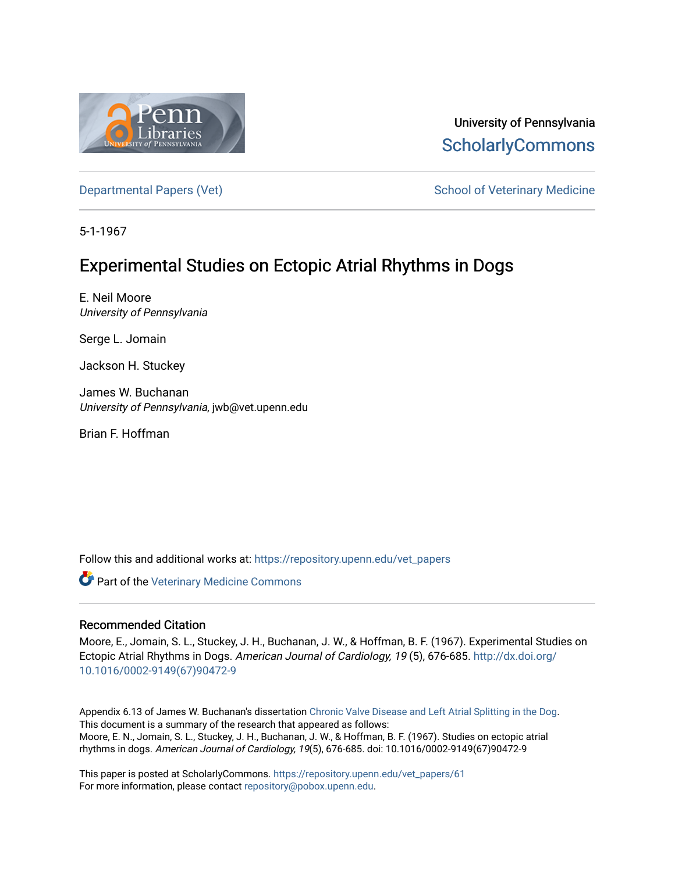

University of Pennsylvania **ScholarlyCommons** 

[Departmental Papers \(Vet\)](https://repository.upenn.edu/vet_papers) **School of Veterinary Medicine** School of Veterinary Medicine

5-1-1967

# Experimental Studies on Ectopic Atrial Rhythms in Dogs

E. Neil Moore University of Pennsylvania

Serge L. Jomain

Jackson H. Stuckey

James W. Buchanan University of Pennsylvania, jwb@vet.upenn.edu

Brian F. Hoffman

Follow this and additional works at: [https://repository.upenn.edu/vet\\_papers](https://repository.upenn.edu/vet_papers?utm_source=repository.upenn.edu%2Fvet_papers%2F61&utm_medium=PDF&utm_campaign=PDFCoverPages) 

**Part of the Veterinary Medicine Commons** 

#### Recommended Citation

Moore, E., Jomain, S. L., Stuckey, J. H., Buchanan, J. W., & Hoffman, B. F. (1967). Experimental Studies on Ectopic Atrial Rhythms in Dogs. American Journal of Cardiology, 19 (5), 676-685. [http://dx.doi.org/](http://dx.doi.org/10.1016/0002-9149(67)90472-9) [10.1016/0002-9149\(67\)90472-9](http://dx.doi.org/10.1016/0002-9149(67)90472-9) 

Appendix 6.13 of James W. Buchanan's dissertation [Chronic Valve Disease and Left Atrial Splitting in the Dog](http://repository.upenn.edu/vet_papers/31/). This document is a summary of the research that appeared as follows: Moore, E. N., Jomain, S. L., Stuckey, J. H., Buchanan, J. W., & Hoffman, B. F. (1967). Studies on ectopic atrial rhythms in dogs. American Journal of Cardiology, 19(5), 676-685. doi: 10.1016/0002-9149(67)90472-9

This paper is posted at ScholarlyCommons. [https://repository.upenn.edu/vet\\_papers/61](https://repository.upenn.edu/vet_papers/61) For more information, please contact [repository@pobox.upenn.edu.](mailto:repository@pobox.upenn.edu)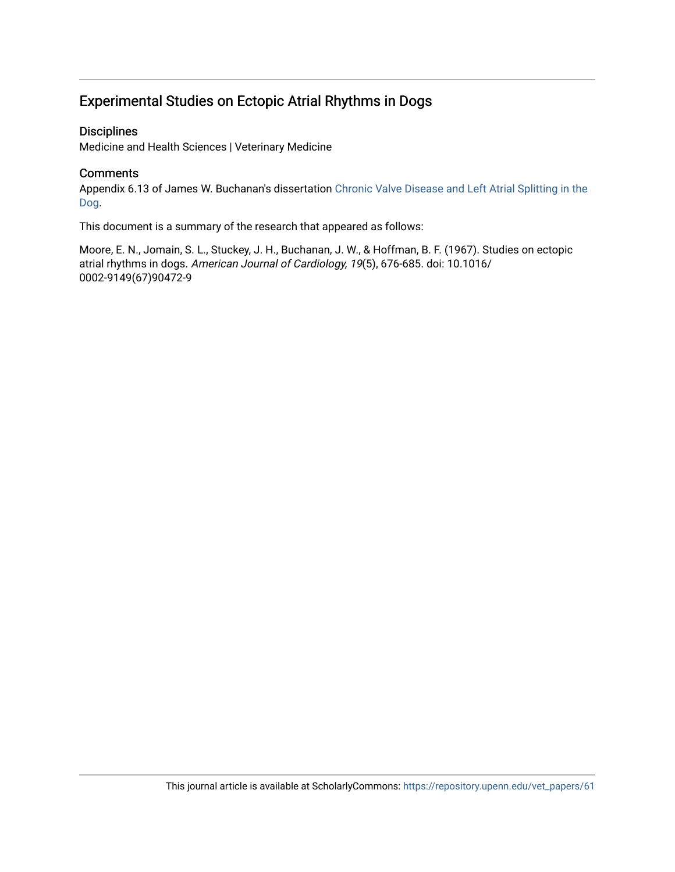### Experimental Studies on Ectopic Atrial Rhythms in Dogs

#### **Disciplines**

Medicine and Health Sciences | Veterinary Medicine

#### **Comments**

Appendix 6.13 of James W. Buchanan's dissertation [Chronic Valve Disease and Left Atrial Splitting in the](http://repository.upenn.edu/vet_papers/31/) [Dog.](http://repository.upenn.edu/vet_papers/31/)

This document is a summary of the research that appeared as follows:

Moore, E. N., Jomain, S. L., Stuckey, J. H., Buchanan, J. W., & Hoffman, B. F. (1967). Studies on ectopic atrial rhythms in dogs. American Journal of Cardiology, 19(5), 676-685. doi: 10.1016/ 0002-9149(67)90472-9